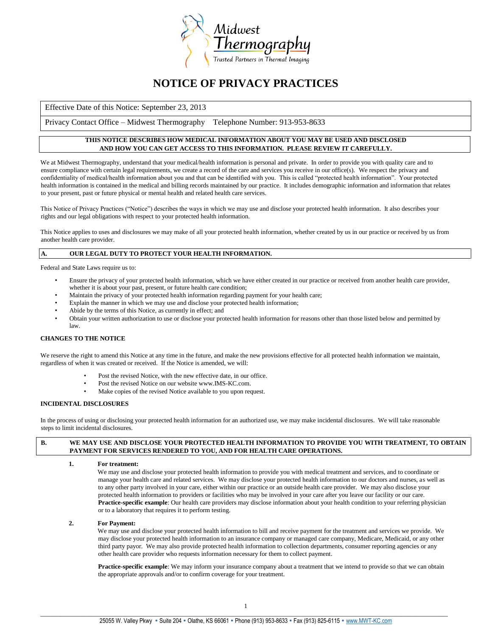

# **NOTICE OF PRIVACY PRACTICES**

Effective Date of this Notice: September 23, 2013

Privacy Contact Office – Midwest Thermography Telephone Number: 913-953-8633

# **THIS NOTICE DESCRIBES HOW MEDICAL INFORMATION ABOUT YOU MAY BE USED AND DISCLOSED AND HOW YOU CAN GET ACCESS TO THIS INFORMATION. PLEASE REVIEW IT CAREFULLY.**

We at Midwest Thermography, understand that your medical/health information is personal and private. In order to provide you with quality care and to ensure compliance with certain legal requirements, we create a record of the care and services you receive in our office(s). We respect the privacy and confidentiality of medical/health information about you and that can be identified with you. This is called "protected health information". Your protected health information is contained in the medical and billing records maintained by our practice. It includes demographic information and information that relates to your present, past or future physical or mental health and related health care services.

This Notice of Privacy Practices ("Notice") describes the ways in which we may use and disclose your protected health information. It also describes your rights and our legal obligations with respect to your protected health information.

This Notice applies to uses and disclosures we may make of all your protected health information, whether created by us in our practice or received by us from another health care provider.

# **A. OUR LEGAL DUTY TO PROTECT YOUR HEALTH INFORMATION.**

Federal and State Laws require us to:

- Ensure the privacy of your protected health information, which we have either created in our practice or received from another health care provider, whether it is about your past, present, or future health care condition;
- Maintain the privacy of your protected health information regarding payment for your health care;
- Explain the manner in which we may use and disclose your protected health information;
- Abide by the terms of this Notice, as currently in effect; and
- Obtain your written authorization to use or disclose your protected health information for reasons other than those listed below and permitted by law.

# **CHANGES TO THE NOTICE**

We reserve the right to amend this Notice at any time in the future, and make the new provisions effective for all protected health information we maintain, regardless of when it was created or received. If the Notice is amended, we will:

- Post the revised Notice, with the new effective date, in our office.
- Post the revised Notice on our website www.IMS-KC.com.
- Make copies of the revised Notice available to you upon request.

#### **INCIDENTAL DISCLOSURES**

In the process of using or disclosing your protected health information for an authorized use, we may make incidental disclosures. We will take reasonable steps to limit incidental disclosures.

# **B. WE MAY USE AND DISCLOSE YOUR PROTECTED HEALTH INFORMATION TO PROVIDE YOU WITH TREATMENT, TO OBTAIN PAYMENT FOR SERVICES RENDERED TO YOU, AND FOR HEALTH CARE OPERATIONS.**

**1. For treatment:**

We may use and disclose your protected health information to provide you with medical treatment and services, and to coordinate or manage your health care and related services. We may disclose your protected health information to our doctors and nurses, as well as to any other party involved in your care, either within our practice or an outside health care provider. We may also disclose your protected health information to providers or facilities who may be involved in your care after you leave our facility or our care. **Practice-specific example**: Our health care providers may disclose information about your health condition to your referring physician or to a laboratory that requires it to perform testing.

#### **2. For Payment:**

We may use and disclose your protected health information to bill and receive payment for the treatment and services we provide. We may disclose your protected health information to an insurance company or managed care company, Medicare, Medicaid, or any other third party payor. We may also provide protected health information to collection departments, consumer reporting agencies or any other health care provider who requests information necessary for them to collect payment.

**Practice-specific example**: We may inform your insurance company about a treatment that we intend to provide so that we can obtain the appropriate approvals and/or to confirm coverage for your treatment.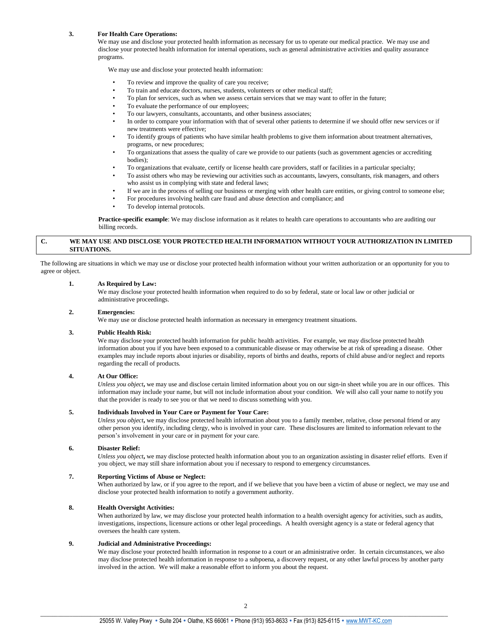# **3. For Health Care Operations:**

We may use and disclose your protected health information as necessary for us to operate our medical practice. We may use and disclose your protected health information for internal operations, such as general administrative activities and quality assurance programs.

We may use and disclose your protected health information:

- To review and improve the quality of care you receive;
- To train and educate doctors, nurses, students, volunteers or other medical staff;
- To plan for services, such as when we assess certain services that we may want to offer in the future;
- To evaluate the performance of our employees;
- To our lawyers, consultants, accountants, and other business associates;
- In order to compare your information with that of several other patients to determine if we should offer new services or if new treatments were effective;
- To identify groups of patients who have similar health problems to give them information about treatment alternatives, programs, or new procedures;
- To organizations that assess the quality of care we provide to our patients (such as government agencies or accrediting bodies);
- To organizations that evaluate, certify or license health care providers, staff or facilities in a particular specialty;
- To assist others who may be reviewing our activities such as accountants, lawyers, consultants, risk managers, and others who assist us in complying with state and federal laws;
- If we are in the process of selling our business or merging with other health care entities, or giving control to someone else;
- For procedures involving health care fraud and abuse detection and compliance; and
- To develop internal protocols.

**Practice-specific example**: We may disclose information as it relates to health care operations to accountants who are auditing our billing records.

# **C. WE MAY USE AND DISCLOSE YOUR PROTECTED HEALTH INFORMATION WITHOUT YOUR AUTHORIZATION IN LIMITED SITUATIONS.**

The following are situations in which we may use or disclose your protected health information without your written authorization or an opportunity for you to agree or object.

#### **1. As Required by Law:**

We may disclose your protected health information when required to do so by federal, state or local law or other judicial or administrative proceedings.

# **2. Emergencies:**

We may use or disclose protected health information as necessary in emergency treatment situations.

#### **3. Public Health Risk:**

We may disclose your protected health information for public health activities. For example, we may disclose protected health information about you if you have been exposed to a communicable disease or may otherwise be at risk of spreading a disease. Other examples may include reports about injuries or disability, reports of births and deaths, reports of child abuse and/or neglect and reports regarding the recall of products.

#### **4. At Our Office:**

*Unless you object***,** we may use and disclose certain limited information about you on our sign-in sheet while you are in our offices. This information may include your name, but will not include information about your condition. We will also call your name to notify you that the provider is ready to see you or that we need to discuss something with you.

# **5. Individuals Involved in Your Care or Payment for Your Care:**

*Unless you object***,** we may disclose protected health information about you to a family member, relative, close personal friend or any other person you identify, including clergy, who is involved in your care. These disclosures are limited to information relevant to the person's involvement in your care or in payment for your care.

#### **6. Disaster Relief:**

*Unless you object***,** we may disclose protected health information about you to an organization assisting in disaster relief efforts. Even if you object, we may still share information about you if necessary to respond to emergency circumstances.

# **7. Reporting Victims of Abuse or Neglect:**

When authorized by law, or if you agree to the report, and if we believe that you have been a victim of abuse or neglect, we may use and disclose your protected health information to notify a government authority.

#### **8. Health Oversight Activities:**

When authorized by law, we may disclose your protected health information to a health oversight agency for activities, such as audits, investigations, inspections, licensure actions or other legal proceedings. A health oversight agency is a state or federal agency that oversees the health care system.

# **9. Judicial and Administrative Proceedings:**

We may disclose your protected health information in response to a court or an administrative order. In certain circumstances, we also may disclose protected health information in response to a subpoena, a discovery request, or any other lawful process by another party involved in the action. We will make a reasonable effort to inform you about the request.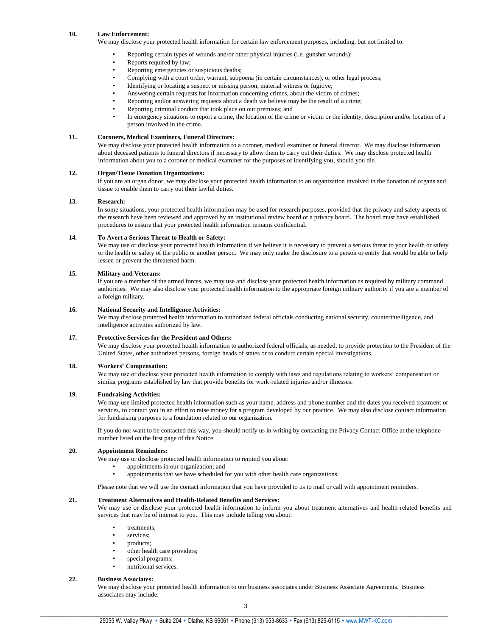# **10. Law Enforcement:**

We may disclose your protected health information for certain law enforcement purposes, including, but not limited to:

- Reporting certain types of wounds and/or other physical injuries (i.e. gunshot wounds);
- Reports required by law;
- Reporting emergencies or suspicious deaths;
- Complying with a court order, warrant, subpoena (in certain circumstances), or other legal process;
- Identifying or locating a suspect or missing person, material witness or fugitive;
- Answering certain requests for information concerning crimes, about the victim of crimes;
- Reporting and/or answering requests about a death we believe may be the result of a crime;
- Reporting criminal conduct that took place on our premises; and
- In emergency situations to report a crime, the location of the crime or victim or the identity, description and/or location of a person involved in the crime.

# **11. Coroners, Medical Examiners, Funeral Directors:**

We may disclose your protected health information to a coroner, medical examiner or funeral director. We may disclose information about deceased patients to funeral directors if necessary to allow them to carry out their duties. We may disclose protected health information about you to a coroner or medical examiner for the purposes of identifying you, should you die.

### **12. Organ/Tissue Donation Organizations:**

If you are an organ donor, we may disclose your protected health information to an organization involved in the donation of organs and tissue to enable them to carry out their lawful duties.

# **13. Research:**

In some situations, your protected health information may be used for research purposes, provided that the privacy and safety aspects of the research have been reviewed and approved by an institutional review board or a privacy board. The board must have established procedures to ensure that your protected health information remains confidential.

#### **14. To Avert a Serious Threat to Health or Safety:**

We may use or disclose your protected health information if we believe it is necessary to prevent a serious threat to your health or safety or the health or safety of the public or another person. We may only make the disclosure to a person or entity that would be able to help lessen or prevent the threatened harm.

# **15. Military and Veterans:**

If you are a member of the armed forces, we may use and disclose your protected health information as required by military command authorities. We may also disclose your protected health information to the appropriate foreign military authority if you are a member of a foreign military.

# **16. National Security and Intelligence Activities:**

We may disclose protected health information to authorized federal officials conducting national security, counterintelligence, and intelligence activities authorized by law.

# **17. Protective Services for the President and Others:**

We may disclose your protected health information to authorized federal officials, as needed, to provide protection to the President of the United States, other authorized persons, foreign heads of states or to conduct certain special investigations.

#### **18. Workers' Compensation:**

We may use or disclose your protected health information to comply with laws and regulations relating to workers' compensation or similar programs established by law that provide benefits for work-related injuries and/or illnesses.

#### **19. Fundraising Activities:**

We may use limited protected health information such as your name, address and phone number and the dates you received treatment or services, to contact you in an effort to raise money for a program developed by our practice. We may also disclose contact information for fundraising purposes to a foundation related to our organization.

If you do not want to be contacted this way, you should notify us in writing by contacting the Privacy Contact Office at the telephone number listed on the first page of this Notice.

# **20. Appointment Reminders:**

We may use or disclose protected health information to remind you about:

- appointments in our organization; and
- appointments that we have scheduled for you with other health care organizations.

Please note that we will use the contact information that you have provided to us to mail or call with appointment reminders.

# **21. Treatment Alternatives and Health-Related Benefits and Services:**

We may use or disclose your protected health information to inform you about treatment alternatives and health-related benefits and services that may be of interest to you. This may include telling you about:

- treatments;
- services:
- products;
- other health care providers;
- special programs;
- nutritional services.

# **22. Business Associates:**

We may disclose your protected health information to our business associates under Business Associate Agreements. Business associates may include: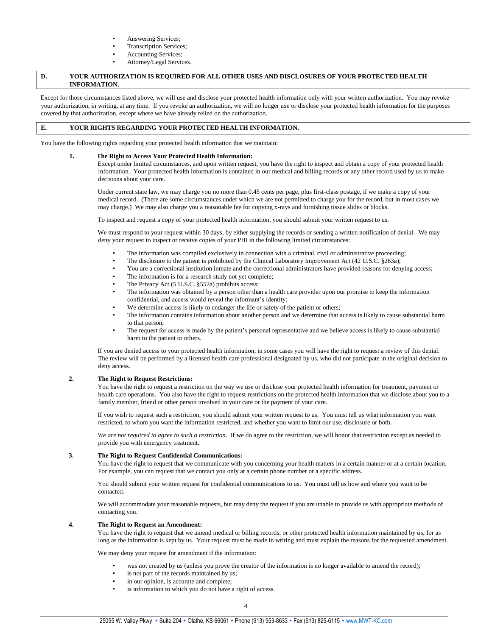- Answering Services;
- Transcription Services;
- Accounting Services;
- Attorney*/*Legal Services*.*

# **D. YOUR AUTHORIZATION IS REQUIRED FOR ALL OTHER USES AND DISCLOSURES OF YOUR PROTECTED HEALTH INFORMATION.**

Except for those circumstances listed above, we will use and disclose your protected health information only with your written authorization. You may revoke your authorization, in writing, at any time. If you revoke an authorization, we will no longer use or disclose your protected health information for the purposes covered by that authorization, except where we have already relied on the authorization.

# **E. YOUR RIGHTS REGARDING YOUR PROTECTED HEALTH INFORMATION.**

You have the following rights regarding your protected health information that we maintain:

#### **1. The Right to Access Your Protected Health Information:**

Except under limited circumstances, and upon written request, you have the right to inspect and obtain a copy of your protected health information. Your protected health information is contained in our medical and billing records or any other record used by us to make decisions about your care.

Under current state law, we may charge you no more than 0.45 cents per page, plus first-class postage, if we make a copy of your medical record. (There are some circumstances under which we are not permitted to charge you for the record, but in most cases we may charge.) We may also charge you a reasonable fee for copying x-rays and furnishing tissue slides or blocks.

To inspect and request a copy of your protected health information, you should submit your written request to us.

We must respond to your request within 30 days, by either supplying the records or sending a written notification of denial. We may deny your request to inspect or receive copies of your PHI in the following limited circumstances:

- The information was compiled exclusively in connection with a criminal, civil or administrative proceeding;
- The disclosure to the patient is prohibited by the Clinical Laboratory Improvement Act (42 U.S.C. §263a);
- You are a correctional institution inmate and the correctional administrators have provided reasons for denying access;
- The information is for a research study not yet complete;
- The Privacy Act (5 U.S.C. §552a) prohibits access;
- The information was obtained by a person other than a health care provider upon our promise to keep the information confidential, and access would reveal the informant's identity;
- We determine access is likely to endanger the life or safety of the patient or others;
- The information contains information about another person and we determine that access is likely to cause substantial harm to that person;
- The request for access is made by the patient's personal representative and we believe access is likely to cause substantial harm to the patient or others.

If you are denied access to your protected health information, in some cases you will have the right to request a review of this denial. The review will be performed by a licensed health care professional designated by us, who did not participate in the original decision to deny access.

# **2. The Right to Request Restrictions:**

You have the right to request a restriction on the way we use or disclose your protected health information for treatment, payment or health care operations. You also have the right to request restrictions on the protected health information that we disclose about you to a family member, friend or other person involved in your care or the payment of your care.

If you wish to request such a restriction, you should submit your written request to us. You must tell us what information you want restricted, to whom you want the information restricted, and whether you want to limit our use, disclosure or both.

*We are not required to agree to such a restriction*. If we do agree to the restriction, we will honor that restriction except as needed to provide you with emergency treatment.

#### **3. The Right to Request Confidential Communications:**

You have the right to request that we communicate with you concerning your health matters in a certain manner or at a certain location. For example, you can request that we contact you only at a certain phone number or a specific address.

You should submit your written request for confidential communications to us. You must tell us how and where you want to be contacted.

We will accommodate your reasonable requests, but may deny the request if you are unable to provide us with appropriate methods of contacting you.

# **4. The Right to Request an Amendment:**

You have the right to request that we amend medical or billing records, or other protected health information maintained by us, for as long as the information is kept by us. Your request must be made in writing and must explain the reasons for the requested amendment.

We may deny your request for amendment if the information:

- was not created by us (unless you prove the creator of the information is no longer available to amend the record);
- is not part of the records maintained by us;
- in our opinion, is accurate and complete;
- is information to which you do not have a right of access.